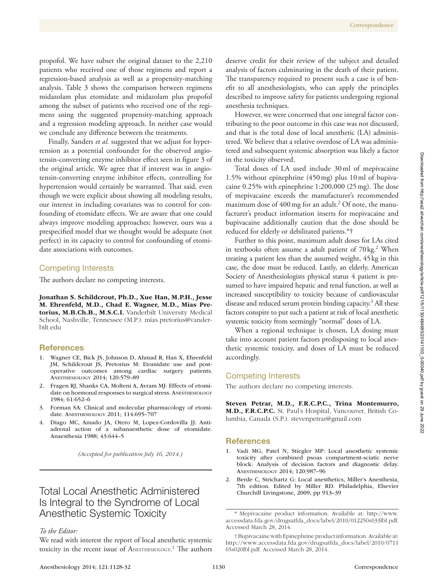propofol. We have subset the original dataset to the 2,210 patients who received one of those regimens and report a regression-based analysis as well as a propensity-matching analysis. Table 3 shows the comparison between regimens midazolam plus etomidate and midazolam plus propofol among the subset of patients who received one of the regimens using the suggested propensity-matching approach and a regression modeling approach. In neither case would we conclude any difference between the treatments.

Finally, Sanders *et al.* suggested that we adjust for hypertension as a potential confounder for the observed angiotensin-converting enzyme inhibitor effect seen in figure 3 of the original article. We agree that if interest was in angiotensin-converting enzyme inhibitor effects, controlling for hypertension would certainly be warranted. That said, even though we were explicit about showing all modeling results, our interest in including covariates was to control for confounding of etomidate effects. We are aware that one could always improve modeling approaches; however, ours was a prespecified model that we thought would be adequate (not perfect) in its capacity to control for confounding of etomidate associations with outcomes.

### Competing Interests

The authors declare no competing interests.

Jonathan S. Schildcrout, Ph.D., Xue Han, M.P.H., Jesse M. Ehrenfeld, M.D., Chad E. Wagner, M.D., Mias Pretorius, M.B.Ch.B., M.S.C.I. Vanderbilt University Medical School, Nashville, Tennessee (M.P.). [mias.pretorius@vander](mailto:mias.pretorius@vanderbilt.edu)[bilt.edu](mailto:mias.pretorius@vanderbilt.edu) 

### **References**

- 1. Wagner CE, Bick JS, Johnson D, Ahmad R, Han X, Ehrenfeld JM, Schildcrout JS, Pretorius M: Etomidate use and postoperative outcomes among cardiac surgery patients. Anesthesiology 2014; 120:579–89
- 2. Fragen RJ, Shanks CA, Molteni A, Avram MJ: Effects of etomidate on hormonal responses to surgical stress. ANESTHESIOLOGY 1984; 61:652–6
- 3. Forman SA: Clinical and molecular pharmacology of etomidate. Anesthesiology 2011; 114:695–707
- 4. Diago MC, Amado JA, Otero M, Lopez-Cordovilla JJ: Antiadrenal action of a subanaesthetic dose of etomidate. Anaesthesia 1988; 43:644–5

*(Accepted for publication July 16, 2014.)*

# Total Local Anesthetic Administered Churchill Livingstone, 2009, pp 913–39 Is Integral to the Syndrome of Local Anesthetic Systemic Toxicity

### *To the Editor:*

We read with interest the report of local anesthetic systemic toxicity in the recent issue of ANESTHESIOLOGY.<sup>1</sup> The authors deserve credit for their review of the subject and detailed analysis of factors culminating in the death of their patient. The transparency required to present such a case is of benefit to all anesthesiologists, who can apply the principles described to improve safety for patients undergoing regional anesthesia techniques.

However, we were concerned that one integral factor contributing to the poor outcome in this case was not discussed, and that is the total dose of local anesthetic (LA) administered. We believe that a relative overdose of LA was administered and subsequent systemic absorption was likely a factor in the toxicity observed.

Total doses of LA used include 30ml of mepivacaine 1.5% without epinephrine (450mg) plus 10ml of bupivacaine 0.25% with epinephrine 1:200,000 (25mg). The dose of mepivacaine exceeds the manufacturer's recommended maximum dose of 400 mg for an adult.<sup>2</sup> Of note, the manufacturer's product information inserts for mepivacaine and bupivacaine additionally caution that the dose should be reduced for elderly or debilitated patients.\*†

Further to this point, maximum adult doses for LAs cited in textbooks often assume a adult patient of 70 kg.<sup>2</sup> When treating a patient less than the assumed weight, 45kg in this case, the dose must be reduced. Lastly, an elderly, American Society of Anesthesiologists physical status 4 patient is presumed to have impaired hepatic and renal function, as well as increased susceptibility to toxicity because of cardiovascular disease and reduced serum protein binding capacity.<sup>3</sup> All these factors conspire to put such a patient at risk of local anesthetic systemic toxicity from seemingly "normal" doses of LA.

When a regional technique is chosen, LA dosing must take into account patient factors predisposing to local anesthetic systemic toxicity, and doses of LA must be reduced accordingly.

### Competing Interests

The authors declare no competing interests.

Steven Petrar, M.D., F.R.C.P.C., Trina Montemurro, M.D., F.R.C.P.C. St. Paul's Hospital, Vancouver, British Columbia, Canada (S.P.). [stevenpetrar@gmail.com](mailto:stevenpetrar@gmail.com) 

#### References

- 1. Vadi MG, Patel N, Stiegler MP: Local anesthetic systemic toxicity after combined psoas compartment-sciatic nerve block: Analysis of decision factors and diagnostic delay. Anesthesiology 2014; 120:987–96
- 2. Berde C, Strichartz G: Local anesthetics, Miller's Anesthesia,

<sup>\*</sup> Mepivacaine product information. Available at: [http://www.](http://www.accessdata.fda.gov/drugsatfda_docs/label/2010/012250s033lbl.pdf) [accessdata.fda.gov/drugsatfda\\_docs/label/2010/012250s033lbl.pdf.](http://www.accessdata.fda.gov/drugsatfda_docs/label/2010/012250s033lbl.pdf) Accessed March 28, 2014.

<sup>†</sup> Bupivacaine with Epinephrine product information. Available at: [http://www.accessdata.fda.gov/drugsatfda\\_docs/label/2010/0711](http://www.accessdata.fda.gov/drugsatfda_docs/label/2010/071165s020lbl.pdf) [65s020lbl.pdf.](http://www.accessdata.fda.gov/drugsatfda_docs/label/2010/071165s020lbl.pdf) Accessed March 28, 2014.